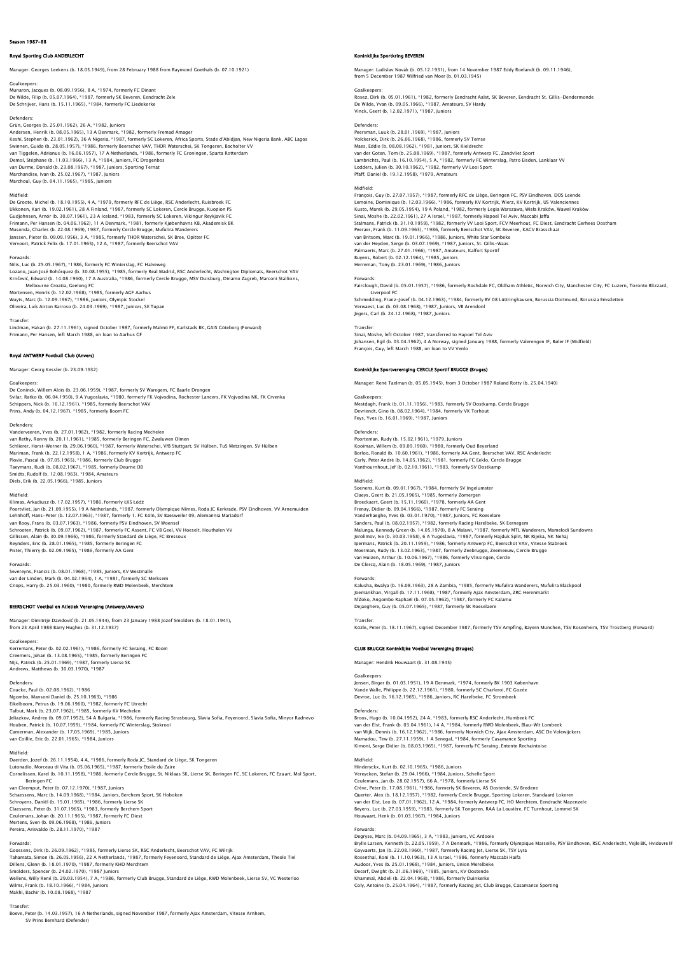## Royal Sporting Club ANDERLECHT

Manager: Georges Leekens (b. 18.05.1949), from 28 February 1988 from Raymond Goethals (b. 07.10.1921)

Goalkeepers: Munaron, Jacques (b. 08.09.1956), 8 A, \*1974, formerly FC Dinant<br>De Wilde, Filip (b. 05.07.1964), \*1987, formerly SK Reveren, Fendracht Zele De Wilde, Filip (b. 05.07.1964), \*1987, formerly SK Beveren, Eendracht Zele De Schrijver, Hans (b. 15.11.1965), \*1984, formerly FC Liedekerke

Defenders:<br>Grün, Georges (b. 25.01.1962), 26 A, \*1982, Juniors<br>Andersen, Henrik (b. 08.05.1965), 13 A Denmark, \*1982, formerly Fremad Amager<br>Keshi, Stephen (b. 23.01.1962), 36 A Nigeria, \*1987, formerly SC Lokeren, Africa Demol, Stéphane (b. 11.03.1966), 13 A, \*1984, Juniors, FC Drogenbos van Durme, Donald (b. 23.08.1967), \*1987, Juniors, Sporting Ternat Marchandise, Ivan (b. 25.02.1967), \*1987, Juniors Marchoul, Guy (b. 04.11.1965), \*1985, Juniors

#### Midfield:

De Groote, Michel (b. 18.10.1955), 4 A, \*1979, formerly RFC de Liège, RSC Anderlecht, Ruisbroek FC Ukkonen, Kari (b. 19.02.1961), 28 A Finland, \*1987, formerly SC Lokeren, Cercle Brugge, Kuopion PS<br>Gudjohnsen, Arnór (b. 30.07.1961), 23 A Iceland, \*1983, formerly SC Lokeren, Vikingur Reykjavik FC<br>Frimann, Per Hansen (b. Janssen, Pieter (b. 09.09.1956), 3 A, \*1985, formerly THOR Waterschei, SK Bree, Opitter FC Vervoort, Patrick Felix (b. 17.01.1965), 12 A, \*1987, formerly Beerschot VAV

Forwards: Nilis, Luc (b. 25.05.1967), \*1986, formerly FC Winterslag, FC Halveweg Lozano, Juan José Bohórquez (b. 30.08.1955), \*1985, formerly Real Madrid, RSC Anderlecht, Washington Diplomats, Beerschot VAV<br>Krnčević, Edward (b. 14.08.1960), 17 A Australia, \*1986, formerly Cercle Brugge, MSV Duisburg, D

Melbourne Croatia, Geelong FC<br>Mortensen, Henrik (b. 12.02.1968), \*1985, formerly AGF Aarhus<br>Wuyts, Marc (b. 12.09.1967), \*1986, Juniors, Olympic Stockel<br>Oliveira, Luís Airton Barroso (b. 24.03.1969), \*1987, Juniors, SE Tup

Transfer: Lindman, Hakan (b. 27.11.1961), signed October 1987, formerly Malmö FF, Karlstads BK, GAIS Göteborg (Forward)<br>Frimann, Per Hansen, left March 1988, on loan to Aarhus GF

## Royal ANTWERP Football Club (Anvers)

Manager: Georg Kessler (b. 23.09.1932)

### Goalkeepers:

De Coninck, Willem Alois (b. 23.06.1959), \*1987, formerly SV Waregem, FC Baarle Drongen<br>Svilar, Ratko (b. 06.04.1950), 9 A Yugoslavia, \*1980, formerly FK Vojvodina, Rochester Lancers, FK Vojvodina NK, FK Crvenka<br>Schippers,

Defenders:

Vanderveeren, Yves (b. 27.01.1962), \*1982, formerly Racing Mechelen van Rethy, Ronny (b. 20.11.1961), \*1985, formerly Beringen FC, Zwaluwen Olmen<br>Schlierer, Horst-Werner (b. 29.06.1960), \*1987, formerly Waterschei, Vf8 Suttgart, SV Hülben, TuS Metzingen, SV Hülben<br>Mariman, Frank (b. 22.12. Plovie, Pascal (b. 07.05.1965), \*1986, formerly Club Brugge<br>Taeymans, Rudi (b. 08.02.1967), \*1985, formerly Deurne OB<br>Smidts, Rudolf (b. 12.08.1963), \*1984, Amateurs<br>Diels, Erik (b. 22.05.1966), \*1985, Juniors

#### Midfield:

Klimas, Arkadiusz (b. 17.02.1957), \*1986, formerly ŁKS Łódź Poortvliet, Jan (b. 21.09.1955), 19 A Netherlands, \*1987, formerly Olympique Nîmes, Roda JC Kerkrade, PSV Eindhoven, VV Arnemuiden<br>Lehnhoff, Hans–Peter (b. 12.07.1963), \*1987, formerly 1. FC Köln, SV Baesweiler 09, Alemann van Rooy, Frans (b. 03.07.1963), \*1986, formerly PSV Eindhoven, SV Woensel<br>Schrooten, Patrick (b. 09.07.1962), \*1987, formerly FC Assent, FC VB Geel, VV Hoeselt, Houthalen VV Gillissen, Alain (b. 30.09.1966), \*1986, formerly Standard de Liège, FC Bressoux Reynders, Eric (b. 28.01.1965), \*1985, formerly Beringen FC Pister, Thierry (b. 02.09.1965), \*1986, formerly AA Gent

Forwards: Severeyns, Francis (b. 08.01.1968), \*1985, Juniors, KV Westmalle van der Linden, Mark (b. 04.02.1964), 1 A, \*1981, formerly SC Merksem Conops, Harry (b. 25.03.1960), \*1980, formerly RWD Molenbeek, Merch

BEERSCHOT Voetbal en Atletiek Vereniging (Antwerp/Anvers)

Manager: Dimitrije Davidović (b. 21.05.1944), from 23 January 1988 Jozef Smolders (b. 18.01.1941), from 23 April 1988 Barry Hughes (b. 31.12.1937)

#### Goalkeepers:

Kerremans, Peter (b. 02.02.1961), \*1986, formerly FC Seraing, FC Boom<br>Creemers, Johan (b. 13.08.1965), \*1985, formerly Beringen FC<br>Nijs, Patrick (b. 25.01.1969), \*1987, formerly Lierse SK<br>Andrews, Matthews (b. 30.03.1970),

Defenders:<br>Coucke, Paul (b. 02.08.1962), \*1986<br>Ngombo, Mansoni Daniel (b. 25.10.1963), \*1986<br>Eikelboom, Petrus (b. 19.06.1960), \*1982, formerly KV Mechelen<br>Talbut, Mark (b. 23.07.1962), \*1985, formerly KV Mechelen Jeliazkov, Andrey (b. 09.07.1952), 54 A Bulgaria, \*1986, formerly Racing Strasbourg, Slavia Sofia, Feyenoord, Slavia Sofia, Minyor Radnevo<br>Houben, Patrick (b. 10.07.1959), \*1984, formerly FC Winterslag, Stokrooi<br>Camerman,

#### Midfield:

Daerden, Jozef (b. 26.11.1954), 4 A, \*1986, formerly Roda JC, Standard de Liège, SK Tongeren<br>Lutonadio, Morceau di Vita (b. 05.06.1965), \*1987, formerly Etolie du Zaire<br>Cornelissen, Karel (b. 10.11.1958), \*1986, formerly C Beringen FC van Cleemput, Peter (b. 07.12.1970), \*1987, Juniors Schaessens, Marc (b. 14.09.1968), \*1984, Juniors, Berchem Sport, SK Hoboken<br>Schroyens, Daniël (b. 15.01.1965), \*1986, formerly Lierse SK<br>Claessens, Peter (b. 31.07.1965), \*1983, formerly Berchem Sport<br>Ceulemans, Johan (b.

Pereira, Arisvaldo (b. 28.11.1970), \*1987

Forwards:<br>Goossens, Dirk (b. 26.09.1962), \*1985, formerly Lierse SK, RSC Anderlecht, Beerschot VAV, FC Wilrijk<br>Tahamata, Simon (b. 26.05.1956), 22 A Netherlands, \*1987, formerly Fevenoord, Standard de Liège, Ajax Amsterdam Dillens, Glenn (b. 18.01.1970), \*1987, formerly KHO Merchtem Smolders, Spencer (b. 24.02.1970), \*1987 Juniors<br>Wellens, Willy René (b. 29.03.1954), 7 A, \*1986, formerly Club Brugge, Standard de Liège, RWD Molenbeek, Lierse SV, VC Westerloo<br>Wilms, Frank (b. 18.10.1966), \*1987<br>Makhi, B

Transfer: Boeve, Peter (b. 14.03.1957), 16 A Netherlands, signed November 1987, formerly Ajax Amsterdam, Vitesse Arnhem, SV Prins Bernhard (Defender)

#### **Kilke Sportkring BEVE**

Manager: Ladislav Novák (b. 05.12.1931), from 14 November 1987 Eddy Roelandt (b. 09.11.1946),<br>from 5 December 1987 Wilfried van Moer (b. 01.03.1945)

#### Goalkeepers:

Rosez, Dirk (b. 05.01.1961), \*1982, formerly Eendracht Aalst, SK Beveren, Eendracht St. Gillis-Dendermonde<br>De Wilde, Yvan (b. 09.05.1966), \*1987, Amateurs, SV Hardy<br>Vinck, Geert (b. 12.02.1971), \*1987, Juniors

#### Defenders:

Peersman, Luuk (b. 28.01.1969), \*1987, Juniors Volckerick, Dirk (b. 26.06.1968), \*1986, formerly SV Temse<br>Maes, Eddie (b. 08.08.1962), \*1981, Juniors, SK Kieldrecht<br>van der Goten, Tom (b. 25.08.1969). \*1987, formerly Antwerp FC, Zandvliet Sport Lambrichts, Paul (b. 16.10.1954), 5 A, \*1982, formerly FC Winterslag, Patro Eisden, Lanklaar VV Lodders, Julien (b. 30.10.1962), \*1982, formerly VV Looi Sport Pfaff, Daniel (b. 19.12.1958), \*1979, Amateurs

Midfield: François, Guy (b. 27.07.1957), \*1987, formerly RFC de Liège, Beringen FC, PSV Eindhoven, DOS Leende Lemoine, Dominique (b. 12.03.1966), \*1986, formerly KV Kortrijk, Wierz, KV Kortrijk, US Valenciennes Kusto, Marek (b. 29.05.1954), 19 A Poland, \*1982, formerly Legia Warszawa, Wisła Kraków, Wawel Kraków<br>Sinai, Moshe (b. 22.02.1961), 27 A Israel, \*1987, formerly Hapoel Tel Aviv, Maccabi Jaffa<br>Stalmans, Patrick (b. 31.10.19 van Britsom, Marc (b. 19.01.1966), \*1986, Juniors, White Star Sombeke van der Heyden, Serge (b. 03.07.1969), \*1987, Juniors, St. Gillis-Waas<br>Palmaerts, Marc (b. 27.01.1966), \*1987, Amateurs, Kalfort Sportif<br>Buyens, Robert (b. 02.12.1964), \*1985, Juniors<br>Herreman, Tony (b. 23.01.1969), \*1986,

Forwards:<br>Fairclough, David (b. 05.01.1957), \*1986, formerly Rochdale FC, Oldham Athletic, Norwich City, Manchester City, FC Luzern, Toronto Blizzard,<br>Liverpool FC<br>Schmedding, Franz-Josef (b. 04.12.1963), \*1984, formerly B Verwaest, Luc (b. 03.08.1968), \*1987, Juniors, VB Arendonl Jegers, Carl (b. 24.12.1968), \*1987, Juniors

Transfer:<br>Sinai, Moshe, left October 1987, transferred to Hapoel Tel Aviv<br>Johansen, Egil (b. 03.04.1962), 4 A Norway, signed January 1988, formerly Valerengen IF, Bøler IF (Midfield)<br>Francois, Guy, left March 1988, on Ioan

### klijke Sportvereniging CERCLE Sportif BRUGGE (Bruges)

Manager: René Taelman (b. 05.05.1945), from 3 October 1987 Roland Rotty (b. 25.04.1940)

Goalkeepers: Mestdagh, Frank (b. 01.11.1956), \*1983, formerly SV Oostkamp, Cercle Brugge Devriendt, Gino (b. 08.02.1964), \*1984, formerly VK Torhout Feys, Yves (b. 16.01.1969), \*1987, Juniors

Defenders:<br>Poorteman, Rudy (b. 15.02.1961), \*1979, Juniors<br>Kooiman, Willem (b. 09.09.1960), \*1980, formerly Oud Beyerland<br>Borloo, Ronald (b. 10.60.1961), \*1986, formerly AA Gent, Beerschot VAV, RSC Anderlecht Carly, Peter André (b. 14.05.1962), \*1981, formerly FC Eeklo, Cercle Brugge Vanthournhout, Jef (b. 02.10.1961), \*1983, formerly SV Oostkamp

Midfield: Soenens, Kurt (b. 09.01.1967), \*1984, formerly SV Ingelumster Claeys, Geert (b. 21.05.1965), \*1985, formerly Zomergen Broeckaert, Geert (b. 15.11.1960), \*1978, formerly AA Cent<br>Frenay, Didier (b. 09.04.1966), \*1987, formerly FC Seraing<br>Vanderhaeghe, Yves (b. 03.01.1970), \*1987, Juniors, FC Roeselare<br>Sanders, Paul (b. 08.02.1957), \*1982, f

Forwards:<br>Kalusha, Bwalya (b. 16.08.1963), 28 A Zambia, \*1985, formerly Mufulira Wanderers, Mufulira Blackpool<br>Joemankhan, Virgall (b. 17.11.1968), \*1987, formerly Ajax Amsterdam, ZRC Herenmarkt<br>N'Zoko, Angombo Raphaël (b.

Transfer: Közle, Peter (b. 18.11.1967), signed December 1987, formerly TSV Ampfing, Bayern München, TSV Rosenheim, TSV Trostberg (Forward)

### CLUB BRUGGE Koninklijke Voetbal Vereniging (Bruges)

Manager: Hendrik Houwaart (b. 31.08.1945)

### Goalkeepers:

Jensen, Birger (b. 01.03.1951), 19 A Denmark, \*1974, formerly BK 1903 København<br>Vande Walle, Philippe (b. 22.12.1961), \*1980, formerly SC Charleroi, FC Gozée<br>Devroe, Luc (b. 16.12.1965), \*1986, Juniors, RC Harelbeke, FC St

Defenders:<br>Broos, Hugo (b. 10.04.1952), 24 A, \*1983, formerly RSC Anderlecht, Humbeek FC<br>van der Elst, Frank (b. 03.04.1961), 14 A, \*1984, formerly RWD Molenbeek, Blau–Wit Lombeek<br>van Wijk, Dennis (b. 16.12.1962), \*1986, f

Midfield:<br>Vinderyckx, Kurt (b. 02.10.1965), \*1986, Juniors<br>Vereycken, Stefan (b. 29.04.1966), \*1984, Juniors, Schelle Sport<br>Ceiven, Peter (b. 17.08.1961), \*1986, formerly SK Beveren, AS Oostende, SV Breden<br>Crève, Peter (b. Querter, Alex (b. 18.12.1957), \*1982, formerly Cercle Brugge, Sporting Lokeren, Standaard Lokeren<br>van der Elst, Leo (b. 07.01.1962), 12 A, \*1984, formerly Antwerp FC, HO Merchtem, Eendracht Mazenzele<br>Beyens, Luc (b. 27.03.

Forwards:<br>Degryse, Marc (b. 04.09.1965), 3 A, \*1983, Juniors, VC Ardooie<br>Brylle Larsen, Kenneth (b. 22.05.1959), 7 A Denmark, \*1986, formerly Olympique Marseille, PSV Eindhoven, RSC Anderlecht, Vejle BK, Hvidovre If<br>Goyvae Audoor, Yves (b. 25.01.1968), \*1984, Juniors, Union Merelbeke<br>Decerf, Dwight (b. 21.06.1969), \*1985, Juniors, KV Oostende<br>Khammal, Abdeli (b. 22.04.1968), \*1986, formerly Duinkerke<br>Coly, Antoine (b. 25.04.1964), \*1987, for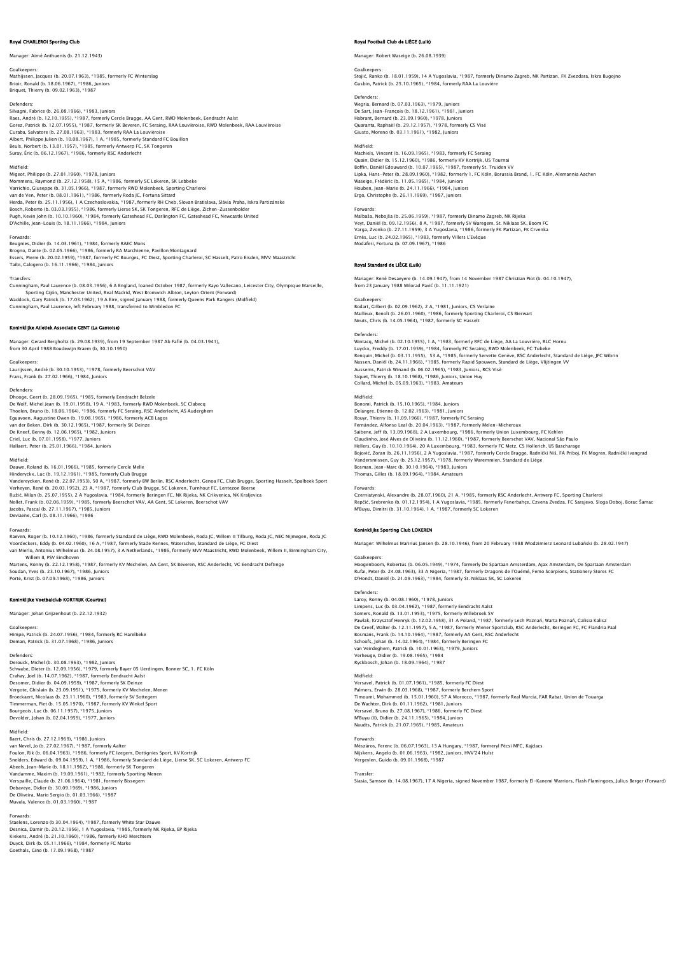### Royal CHARLEROI Sporting Club

Manager: Aimé Anthuenis (b. 21.12.1943)

Goalkeepers: Mathijssen, Jacques (b. 20.07.1963), \*1985, formerly FC Winterslag Brioir, Ronald (b. 18.06.1967), \*1986, Juniors Briquet, Thierry (b. 09.02.1963), \*1987

Defenders:<br>Silvagni, Fabrice (b. 26.08.1966), \*1983, Juniors<br>Raes, André (b. 12.10.1955), \*1987, formerly Cercle Brugge, AA Gent, RWD Molenbeek, Eendracht Aalst Gorez, Patrick (b. 12.07.1955), \*1987, formerly SK Beveren, FC Seraing, RAA Louvièroise, RWD Molenbeek, RAA Louvièroise<br>Curaba, Salvatore (b. 27.08.1963), \*1983, formerly RAA La Louvièroise<br>Albert, Philippe Julien (b. 10.0

## Midfield:

Migeot, Philippe (b. 27.01.1960), \*1978, Juniors<br>Mommens, Raymond (b. 27.12.1958), 15 A, \*1986, formerly SC Lokeren, SK Lebbeke<br>Varrichio, Giuseppe (b. 31.05.1966), \*1987, formerly RWD Molenbeek, Sporting Charleroi<br>van de Herda, Peter (b. 25.11.1956), 1 A Czechoslovakia, \*1987, formerly RH Cheb, Slovan Bratislava, Slávia Praha, Iskra Partizánske<br>Bosch, Roberto (b. 03.03.1955), \*1986, formerly Lierse SK, SK Tongeren, RFC de Liège, Zichen-Zus

#### Forwards:

Beugnies, Didier (b. 14.03.1961), \*1984, formerly RAEC Mons<br>Brogno, Dante (b. 02.05.1966), \*1986, formerly RA Marchienne, Pavillon Montagnard<br>Essers, Pierre (b. 20.02.1959), \*1987, formerly FC Bourges, FC Diest, Sporting C

#### **Transfers**

Cunningham, Paul Laurence (b. 08.03.1956), 6 A England, Ioaned October 1987, formerly Rayo Vallecano, Leicester City, Olympique Marseille,<br>Sporting Gijón, Manchester United, Real Madrid, West Bromwich Albion, Leyton Orient Cunningham, Paul Laurence, left February 1988, transferred to Wimbledon FC

### .<br>Ike Atletiek Associatie GENT (La Gan

Manager: Gerard Bergholtz (b. 29.08.1939), from 19 September 1987 Ab Fafié (b. 04.03.1941), from 30 April 1988 Boudewijn Braem (b, 30.10.1950)

Goalkeepers: Laurijssen, André (b. 30.10.1953), \*1978, formerly Beerschot VAV Frans, Frank (b. 27.02.1966), \*1984, Juniors

## Defenders:<br>Dheege Ceet (b. 38.00.1065), #1085, formerly Englands Belgels

Dhooge, Geert (b. 28.09.1965), \*1985, formerly Eendracht Belzele<br>De Wolf, Michel Jean (b. 19.01.1958), 19 A, \*1983, formerly RWD Molenbeek, SC Clabecq<br>Thoelen, Bruno (b. 18.06.1964), \*1986, formerly FC Seraing, RSC Anderle van der Beken, Dirk (b. 30.12.1965), \*1987, formerly SK Deinze De Kneef, Benny (b. 12.06.1965), \*1982, Juniors Criel, Luc (b. 07.01.1958), \*1977, Juniors Hallaert, Peter (b. 25.01.1966), \*1984, Juniors

#### Midfield:

Dauwe, Roland (b. 16.01.1966), \*1985, formerly Cercle Melle Hinderyckx, Luc (b. 19.12.1961), \*1985, formerly Club Brugge<br>Vandereycken, René (b. 22.07.1953), 50 A, \*1987, formerly BW Berlin, RSC Anderlecht, Genoa FC, Club Brugge, Sporting Hasselt, Spalbeek Sport<br>Verheyen, René (b. 2

Nollet, Frank (b. 02.06.1959), \*1985, formerly Beerschot VAV, AA Gent, SC Lokeren, Beerschot VAV Jacobs, Pascal (b. 27.11.1967), \*1985, Juniors

Deviaene, Carl (b. 08.11.1966), \*1986

### Forwards:

Raeven, Roger (b. 10.12.1960), \*1986, formerly Standard de Liège, RWD Molenbeek, Roda JC, Willem II Tilburg, Roda JC, NEC Nijmegen, Roda JC<br>Voordeckers, Eddy (b. 04.02.1960), 16 A, \*1987, formerly Stade Rennes, Waterschei,

Willem II, PSV Eindhoven Martens, Ronny (b. 22.12.1958), \*1987, formerly KV Mechelen, AA Gent, SK Beveren, RSC Anderlecht, VC Eendracht Deftinge Soudan, Yves (b. 23.10.1967), \*1986, Juniors Porte, Krist (b. 07.09.1968), \*1986, Juniors

### Koninklijke Voetbalclub KORTRIJK (Courtrai)

Manager: Johan Grijzenhout (b. 22.12.1932)

## Goalkeepers:

Himpe, Patrick (b. 24.07.1956), \*1984, formerly RC Harelbeke Deman, Patrick (b. 31.07.1968), \*1986, Juniors

Defenders:<br>Derouck, Michel (b. 30.08.1963), \*1982, Juniors<br>Schwabe, Dieter (b. 12.09.1956), \*1979, formerly Bayer 05 Uerdingen, Bonner SC, 1. FC Köln<br>Crahay, Joel (b. 14.07.1962), \*1987, formerly Eendracht Aalst Desomer, Didier (b. 04.09.1959), \*1987, formerly SK Deinze<br>Vergote, Chislain (b. 23.09.1951), \*1975, formerly KV Mechelen, Menen<br>Broeckaert, Nicolaas (b. 23.11.1960), \*1983, formerly SV Sottegem<br>Timmerman, Piet (b. 16.1.19 Devolder, Johan (b. 02.04.1959), \*1977, Juniors

Midfield: Baert, Chris (b. 27.12.1969), \*1986, Juniors van Nevel, Jo (b. 27.02.1967), \*1987, formerly Aalter Foulon, Rik (b. 06.04.1963), \*1986, formerly FC Izegem, Dottignies Sport, KV Kortrijk<br>Snelders, Edward (b. 09.04.1959), 1 A, \*1986, formerly Standard de Liège, Lierse SK, SC Lokeren, Antwerp FC<br>Abeels, Jean-Marie (b. 18.11 De Oliveira, Mario Sergio (b. 01.03.1966), \*1987 Muvala, Valence (b. 01.03.1960), \*1987

Forwards: Staelens, Lorenzo (b 30.04.1964), \*1987, formerly White Star Dauwe Desnica, Damir (b. 20.12.1956), 1 A Yugoslavia, \*1985, formerly NK Rijeka, EP Rijeka<br>Kiekens, André (b. 21.10.1960), \*1986, formerly KHO Merchtem<br>Duyck, Dirk (b. 05.11.1966), \*1984, formerly FC Marke<br>Goethals, Gino (b. 17.

### Royal Football Club de LIÈGE (Luik)

Manager: Robert Waseige (b. 26.08.1939)

# Goalkeepers: Stojić, Ranko (b. 18.01.1959), 14 A Yugoslavia, \*1987, formerly Dinamo Zagreb, NK Partizan, FK Zvezdara, Iskra Bugojno Gusbin, Patrick (b. 25.10.1965), \*1984, formerly RAA La Louvière

Defenders: Wegria, Bernard (b. 07.03.1963), \*1979, Juniors De Sart, Jean-François (b. 18.12.1961), \*1981, Juniors Habrant, Bernard (b. 23.09.1960), \*1978, Juniors Quaranta, Raphaël (b. 29.12.1957), \*1978, formerly CS Visé Giusto, Moreno (b. 03.11.1961), \*1982, Juniors

Midfield: Machiels, Vincent (b. 16.09.1965), \*1983, formerly FC Seraing Quain, Didier (b. 15.12.1960), \*1986, formerly KV Kortrijk, US Tournai Boffin, Daniël Edouward (b. 10.07.1965), \*1987, formerly St. Truiden VV Lipka, Hans-Peter (b. 28.09.1960), \*1982, formerly 1. FC Köln, Borussia Brand, 1. FC Köln, Alemannia Aacher<br>Waseige, Frédéric (b. 11.05.1965), \*1984, Juniors<br>Houben, Jean-Marie (b. 24.11.1966), \*1984, Juniors<br>Erqo, Christo

Forwards:<br>Malbaša, Nebojša (b. 25.06.1959), \*1987, formerly Dinamo Zagreb, NK Rijeka<br>Very, Daniël (b. 09.12.1956), 8 A, \*1987, formerly SV Waregem, St. Niklaas SK, Boom FC<br>Varqa, Zvonko (b. 27.11.1959), 3 A Yuqoslavia, \*19 Ernès, Luc (b. 24.02.1965), \*1983, formerly Villers L'Evêque Modaferi, Fortuna (b. 07.09.1967), \*1986

### Royal Standard de LIÈGE (Luik)

Manager: René Desaeyere (b. 14.09.1947), from 14 November 1987 Christian Piot (b. 04.10.1947), from 23 January 1988 Milorad Pavić (b. 11.11.1921)

### Goalkeepers:

Bodart, Gilbert (b. 02.09.1962), 2 A, \*1981, Juniors, CS Verlaine Mailleux, Benoît (b. 26.01.1960), \*1986, formerly Sporting Charleroi, CS Bierwart Neuts, Chris (b. 14.05.1964), \*1987, formerly SC Hasselt

#### **Defenders**

Wintacq, Michel (b. 02.10.1955), 1 A, \*1983, formerly RFC de Liège, AA La Louvrière, RLC Hornu Luyckx, Freddy (b. 17.01.1959), \*1984, formerly FC Seraing, RWD Molenbeek, FC Tubeke<br>Renquin, Michel (b. 03.11.1955), S3 A, \*1985, formerly Servette Genève, RSC Anderlecht, Standard de Liège, JFC Wibrin<br>Nassen, Daniël (b.

## Midfield:

Bonomi, Patrick (b. 15.10.1965), \*1984, Juniors Delangre, Etienne (b. 12.02.1963), \*1981, Juniors Rouyr, Thierry (b. 11.09.1966), \*1987, formerly FC Seraing Fernández, Alfonso Leal (b. 20.04.1963), \*1987, formerly Melen-Micheroux Saibene, Jeff (b. 13.09.1968), 2 A Luxembourg, \*1986, formerly Union Luxembourg, FC Kehlen<br>Claudinho, José Alves de Oliveira (b. 11.12.1960), \*1987, formerly Beerschot VAV, Nacional São Paulo<br>Hellers, Guy (b. 10.10.1964), Vandersmissen, Guy (b. 25.12.1957), \*1978, formerly Waremmien, Standard de Liège<br>Bosman, Jean-Marc (b. 30.10.1964), \*1983, Juniors<br>Thomas, Gilles (b. 18.09.1964), \*1984, Amateurs

#### Forwards:

Czerniatynski, Alexandre (b. 28.07.1960), 21 A, \*1985, formerly RSC Anderlecht, Antwerp FC, Sporting Charleroi Repčić, Srebrenko (b. 01.12.1954), 1 A Yugoslavia, \*1985, formerly Fenerbahçe, Czvena Zvedza, FC Sarajevo, Sloga Doboj, Borac Šamac<br>M'Buyu, Dimitri (b. 31.10.1964), 1 A, \*1987, formerly SC Lokeren

### Koninklijke Sporting Club LOKEREN

Manager: Wilhelmus Marinus Jansen (b. 28.10.1946), from 20 February 1988 Włodzimierz Leonard Lubański (b. 28.02.1947)

### Goalkeepers:

Hoogenboom, Robertus (b. 06.05.1949), \*1974, formerly De Spartaan Amsterdam, Ajax Amsterdam, De Spartaan Amsterdam Rufai, Peter (b. 24.08.1963), 33 A Nigeria, \*1987, formerly Dragons de l'Ouémé, Femo Scorpions, Stationery Stores FC D'Hondt, Daniël (b. 21.09.1963), \*1984, formerly St. Niklaas SK, SC Lokeren

### Defenders:

Laroy, Ronny (b. 04.08.1960), \*1978, Juniors Limpens, Luc (b. 03.04.1962), \*1987, formerly Eendracht Aalst Somers, Ronald (b. 13.01.1953), \*1975, formerly Willebroek SV Pawlak, Krzysztof Henryk (b. 12.02.1958), 31 A Poland, \*1987, formerly Lech Poznań, Warta Poznań, Calisia Kalisz<br>De Greef, Walter (b. 12.11.1957), 5 A, \*1987, formerly Wiener Sportclub, RSC Anderlecht, Beringen FC, FC Flan

van Veirdeghem, Patrick (b. 10.01.1963), \*1979, Juniors Verheuge, Didier (b. 19.08.1965), \*1984 Ryckbosch, Johan (b. 18.09.1964), \*1987

### Midfield:

Versavel, Patrick (b. 0.1.07.1961), \*1985, formerly FC Diest<br>Palmers, Erwin (b. 28.03.1968), \*1987, formerly Berchem Sport<br>Timoumi, Mohammed (b. 15.01.1960), 57 A Morocco, \*1987, formerly Real Murcía, FAR Rabat, Union de T M'Buyu (II), Didier (b. 24.11.1965), \*1984, Juniors Naudts, Patrick (b. 21.07.1965), \*1985, Amateurs

Forwards: Mészáros, Ferenc (b. 06.07.1963), 13 A Hungary, \*1987, formeryl Pécsi MFC, Kajdacs Nijskens, Angelo (b. 01.06.1963), \*1982, Juniors, HVV'24 Hulst Vergeylen, Guido (b. 09.01.1968), \*1987

Transfer: Siasia, Samson (b. 14.08.1967), 17 A Nigeria, signed November 1987, formerly El-Kanemi Warriors, Flash Flamingoes, Julius Berger (Forward)